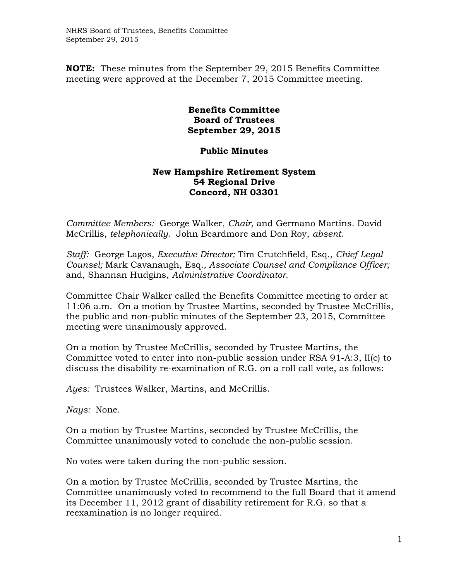**NOTE:** These minutes from the September 29, 2015 Benefits Committee meeting were approved at the December 7, 2015 Committee meeting.

## **Benefits Committee Board of Trustees September 29, 2015**

## **Public Minutes**

## **New Hampshire Retirement System 54 Regional Drive Concord, NH 03301**

*Committee Members:* George Walker, *Chair*, and Germano Martins. David McCrillis, *telephonically.* John Beardmore and Don Roy, *absent*.

*Staff:* George Lagos, *Executive Director;* Tim Crutchfield, Esq., *Chief Legal Counsel;* Mark Cavanaugh, Esq.*, Associate Counsel and Compliance Officer;*  and, Shannan Hudgins, *Administrative Coordinator*.

Committee Chair Walker called the Benefits Committee meeting to order at 11:06 a.m. On a motion by Trustee Martins, seconded by Trustee McCrillis, the public and non-public minutes of the September 23, 2015, Committee meeting were unanimously approved.

On a motion by Trustee McCrillis, seconded by Trustee Martins, the Committee voted to enter into non-public session under RSA 91-A:3, II(c) to discuss the disability re-examination of R.G. on a roll call vote, as follows:

*Ayes:* Trustees Walker, Martins, and McCrillis.

*Nays:* None.

On a motion by Trustee Martins, seconded by Trustee McCrillis, the Committee unanimously voted to conclude the non-public session.

No votes were taken during the non-public session.

On a motion by Trustee McCrillis, seconded by Trustee Martins, the Committee unanimously voted to recommend to the full Board that it amend its December 11, 2012 grant of disability retirement for R.G. so that a reexamination is no longer required.